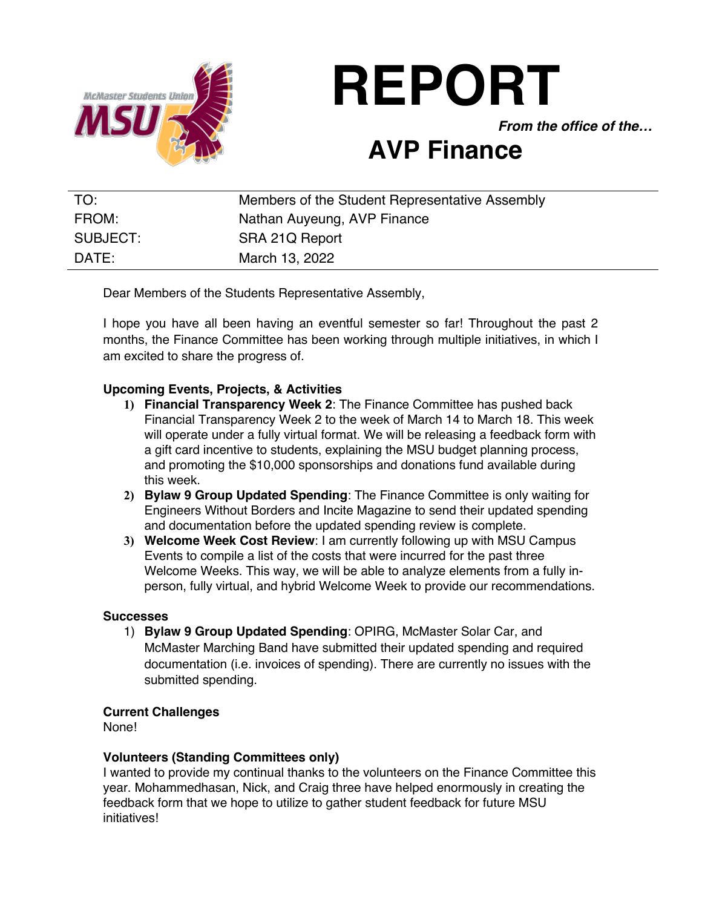

# **REPORT**

*From the office of the…*

## **AVP Finance**

| TO:      | Members of the Student Representative Assembly |
|----------|------------------------------------------------|
| FROM:    | Nathan Auyeung, AVP Finance                    |
| SUBJECT: | SRA 21Q Report                                 |
| DATE:    | March 13, 2022                                 |

Dear Members of the Students Representative Assembly,

I hope you have all been having an eventful semester so far! Throughout the past 2 months, the Finance Committee has been working through multiple initiatives, in which I am excited to share the progress of.

### **Upcoming Events, Projects, & Activities**

- **1) Financial Transparency Week 2**: The Finance Committee has pushed back Financial Transparency Week 2 to the week of March 14 to March 18. This week will operate under a fully virtual format. We will be releasing a feedback form with a gift card incentive to students, explaining the MSU budget planning process, and promoting the \$10,000 sponsorships and donations fund available during this week.
- **2) Bylaw 9 Group Updated Spending**: The Finance Committee is only waiting for Engineers Without Borders and Incite Magazine to send their updated spending and documentation before the updated spending review is complete.
- **3) Welcome Week Cost Review**: I am currently following up with MSU Campus Events to compile a list of the costs that were incurred for the past three Welcome Weeks. This way, we will be able to analyze elements from a fully inperson, fully virtual, and hybrid Welcome Week to provide our recommendations.

#### **Successes**

1) **Bylaw 9 Group Updated Spending**: OPIRG, McMaster Solar Car, and McMaster Marching Band have submitted their updated spending and required documentation (i.e. invoices of spending). There are currently no issues with the submitted spending.

#### **Current Challenges**

None!

#### **Volunteers (Standing Committees only)**

I wanted to provide my continual thanks to the volunteers on the Finance Committee this year. Mohammedhasan, Nick, and Craig three have helped enormously in creating the feedback form that we hope to utilize to gather student feedback for future MSU initiatives!